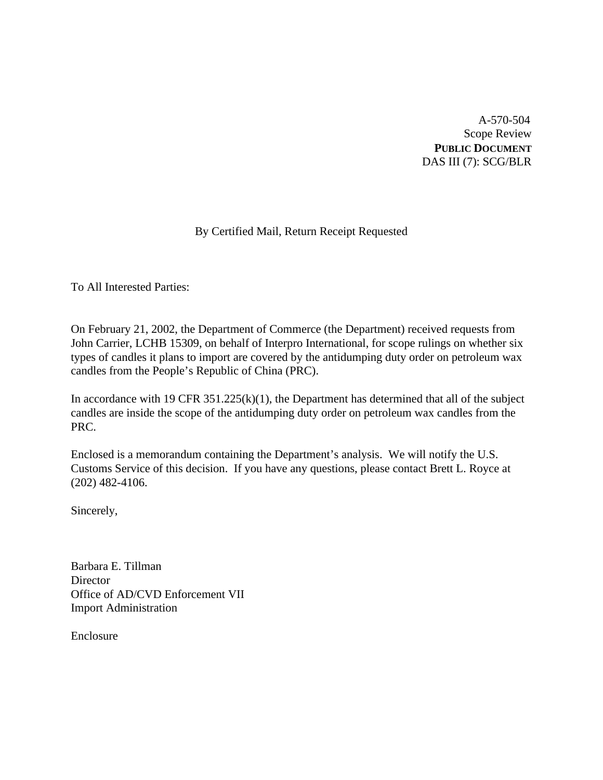A-570-504 Scope Review **PUBLIC DOCUMENT** DAS III (7): SCG/BLR

# By Certified Mail, Return Receipt Requested

To All Interested Parties:

On February 21, 2002, the Department of Commerce (the Department) received requests from John Carrier, LCHB 15309, on behalf of Interpro International, for scope rulings on whether six types of candles it plans to import are covered by the antidumping duty order on petroleum wax candles from the People's Republic of China (PRC).

In accordance with 19 CFR  $351.225(k)(1)$ , the Department has determined that all of the subject candles are inside the scope of the antidumping duty order on petroleum wax candles from the PRC.

Enclosed is a memorandum containing the Department's analysis. We will notify the U.S. Customs Service of this decision. If you have any questions, please contact Brett L. Royce at (202) 482-4106.

Sincerely,

Barbara E. Tillman **Director** Office of AD/CVD Enforcement VII Import Administration

Enclosure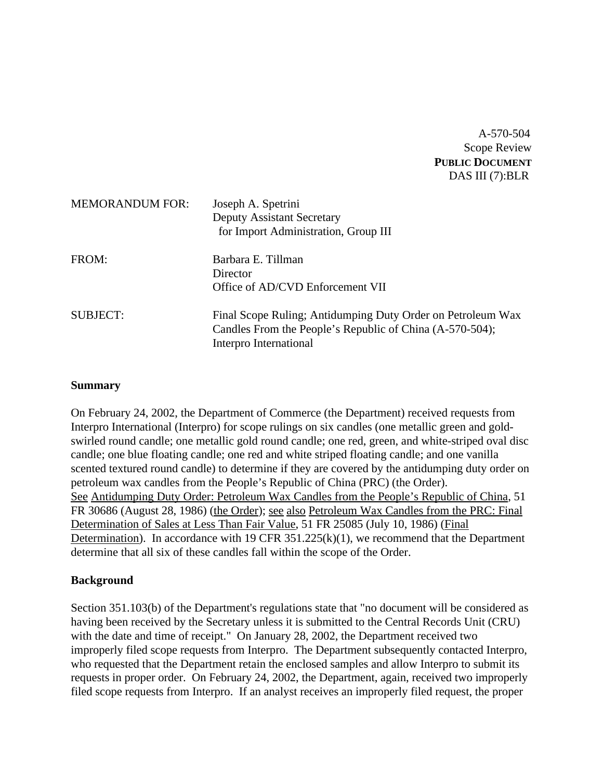# A-570-504 Scope Review **PUBLIC DOCUMENT** DAS III (7):BLR

| <b>MEMORANDUM FOR:</b> | Joseph A. Spetrini<br><b>Deputy Assistant Secretary</b><br>for Import Administration, Group III                                                   |
|------------------------|---------------------------------------------------------------------------------------------------------------------------------------------------|
| FROM:                  | Barbara E. Tillman<br>Director<br>Office of AD/CVD Enforcement VII                                                                                |
| <b>SUBJECT:</b>        | Final Scope Ruling; Antidumping Duty Order on Petroleum Wax<br>Candles From the People's Republic of China (A-570-504);<br>Interpro International |

### **Summary**

On February 24, 2002, the Department of Commerce (the Department) received requests from Interpro International (Interpro) for scope rulings on six candles (one metallic green and goldswirled round candle; one metallic gold round candle; one red, green, and white-striped oval disc candle; one blue floating candle; one red and white striped floating candle; and one vanilla scented textured round candle) to determine if they are covered by the antidumping duty order on petroleum wax candles from the People's Republic of China (PRC) (the Order). See Antidumping Duty Order: Petroleum Wax Candles from the People's Republic of China, 51 FR 30686 (August 28, 1986) (the Order); see also Petroleum Wax Candles from the PRC: Final Determination of Sales at Less Than Fair Value, 51 FR 25085 (July 10, 1986) (Final Determination). In accordance with 19 CFR 351.225(k)(1), we recommend that the Department determine that all six of these candles fall within the scope of the Order.

### **Background**

Section 351.103(b) of the Department's regulations state that "no document will be considered as having been received by the Secretary unless it is submitted to the Central Records Unit (CRU) with the date and time of receipt." On January 28, 2002, the Department received two improperly filed scope requests from Interpro. The Department subsequently contacted Interpro, who requested that the Department retain the enclosed samples and allow Interpro to submit its requests in proper order. On February 24, 2002, the Department, again, received two improperly filed scope requests from Interpro. If an analyst receives an improperly filed request, the proper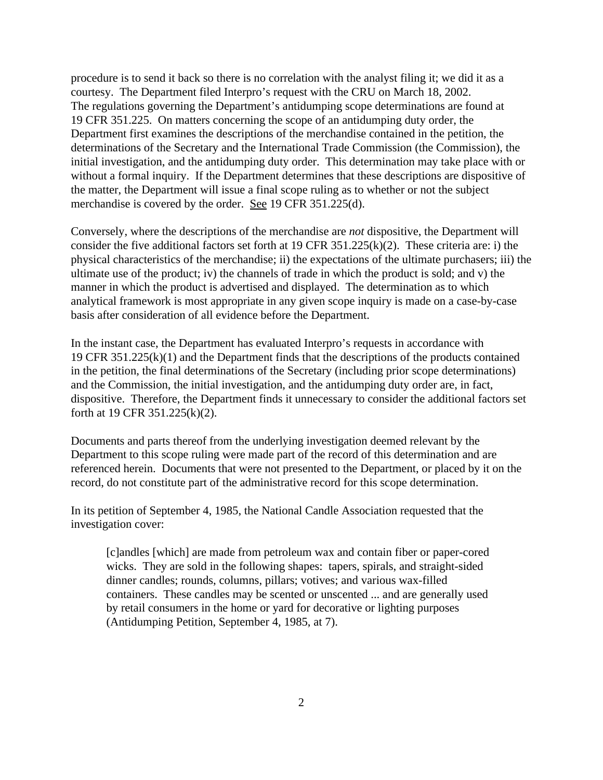procedure is to send it back so there is no correlation with the analyst filing it; we did it as a courtesy. The Department filed Interpro's request with the CRU on March 18, 2002. The regulations governing the Department's antidumping scope determinations are found at 19 CFR 351.225. On matters concerning the scope of an antidumping duty order, the Department first examines the descriptions of the merchandise contained in the petition, the determinations of the Secretary and the International Trade Commission (the Commission), the initial investigation, and the antidumping duty order. This determination may take place with or without a formal inquiry. If the Department determines that these descriptions are dispositive of the matter, the Department will issue a final scope ruling as to whether or not the subject merchandise is covered by the order. See 19 CFR 351.225(d).

Conversely, where the descriptions of the merchandise are *not* dispositive, the Department will consider the five additional factors set forth at 19 CFR 351.225(k)(2). These criteria are: i) the physical characteristics of the merchandise; ii) the expectations of the ultimate purchasers; iii) the ultimate use of the product; iv) the channels of trade in which the product is sold; and v) the manner in which the product is advertised and displayed. The determination as to which analytical framework is most appropriate in any given scope inquiry is made on a case-by-case basis after consideration of all evidence before the Department.

In the instant case, the Department has evaluated Interpro's requests in accordance with 19 CFR 351.225(k)(1) and the Department finds that the descriptions of the products contained in the petition, the final determinations of the Secretary (including prior scope determinations) and the Commission, the initial investigation, and the antidumping duty order are, in fact, dispositive. Therefore, the Department finds it unnecessary to consider the additional factors set forth at 19 CFR 351.225(k)(2).

Documents and parts thereof from the underlying investigation deemed relevant by the Department to this scope ruling were made part of the record of this determination and are referenced herein. Documents that were not presented to the Department, or placed by it on the record, do not constitute part of the administrative record for this scope determination.

In its petition of September 4, 1985, the National Candle Association requested that the investigation cover:

[c]andles [which] are made from petroleum wax and contain fiber or paper-cored wicks. They are sold in the following shapes: tapers, spirals, and straight-sided dinner candles; rounds, columns, pillars; votives; and various wax-filled containers. These candles may be scented or unscented ... and are generally used by retail consumers in the home or yard for decorative or lighting purposes (Antidumping Petition, September 4, 1985, at 7).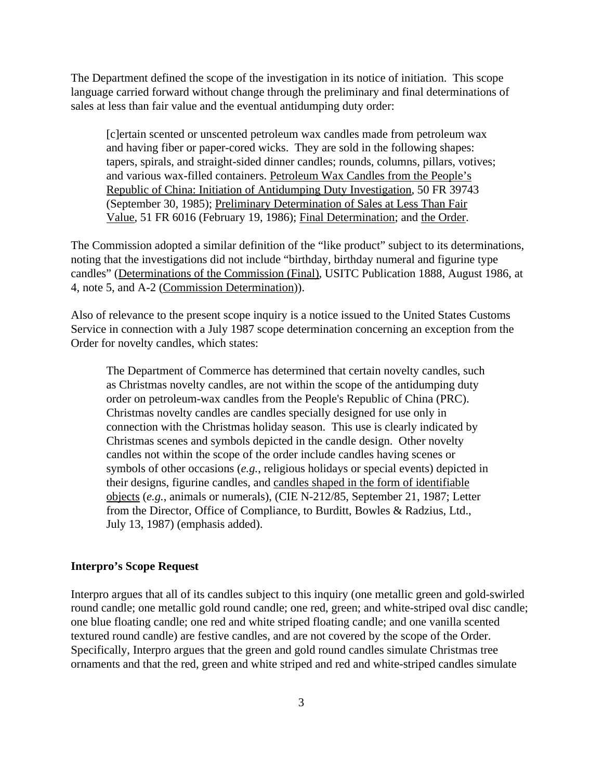The Department defined the scope of the investigation in its notice of initiation. This scope language carried forward without change through the preliminary and final determinations of sales at less than fair value and the eventual antidumping duty order:

[c]ertain scented or unscented petroleum wax candles made from petroleum wax and having fiber or paper-cored wicks. They are sold in the following shapes: tapers, spirals, and straight-sided dinner candles; rounds, columns, pillars, votives; and various wax-filled containers. Petroleum Wax Candles from the People's Republic of China: Initiation of Antidumping Duty Investigation, 50 FR 39743 (September 30, 1985); Preliminary Determination of Sales at Less Than Fair Value, 51 FR 6016 (February 19, 1986); Final Determination; and the Order.

The Commission adopted a similar definition of the "like product" subject to its determinations, noting that the investigations did not include "birthday, birthday numeral and figurine type candles" (Determinations of the Commission (Final), USITC Publication 1888, August 1986, at 4, note 5, and A-2 (Commission Determination)).

Also of relevance to the present scope inquiry is a notice issued to the United States Customs Service in connection with a July 1987 scope determination concerning an exception from the Order for novelty candles, which states:

The Department of Commerce has determined that certain novelty candles, such as Christmas novelty candles, are not within the scope of the antidumping duty order on petroleum-wax candles from the People's Republic of China (PRC). Christmas novelty candles are candles specially designed for use only in connection with the Christmas holiday season. This use is clearly indicated by Christmas scenes and symbols depicted in the candle design. Other novelty candles not within the scope of the order include candles having scenes or symbols of other occasions (*e.g.*, religious holidays or special events) depicted in their designs, figurine candles, and candles shaped in the form of identifiable objects (*e.g.*, animals or numerals), (CIE N-212/85, September 21, 1987; Letter from the Director, Office of Compliance, to Burditt, Bowles & Radzius, Ltd., July 13, 1987) (emphasis added).

#### **Interpro's Scope Request**

Interpro argues that all of its candles subject to this inquiry (one metallic green and gold-swirled round candle; one metallic gold round candle; one red, green; and white-striped oval disc candle; one blue floating candle; one red and white striped floating candle; and one vanilla scented textured round candle) are festive candles, and are not covered by the scope of the Order. Specifically, Interpro argues that the green and gold round candles simulate Christmas tree ornaments and that the red, green and white striped and red and white-striped candles simulate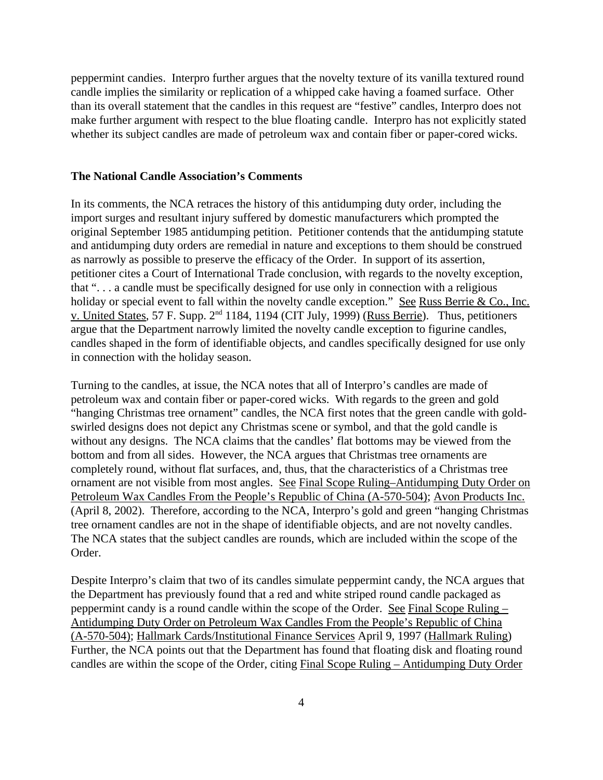peppermint candies. Interpro further argues that the novelty texture of its vanilla textured round candle implies the similarity or replication of a whipped cake having a foamed surface. Other than its overall statement that the candles in this request are "festive" candles, Interpro does not make further argument with respect to the blue floating candle.Interpro has not explicitly stated whether its subject candles are made of petroleum wax and contain fiber or paper-cored wicks.

#### **The National Candle Association's Comments**

In its comments, the NCA retraces the history of this antidumping duty order, including the import surges and resultant injury suffered by domestic manufacturers which prompted the original September 1985 antidumping petition. Petitioner contends that the antidumping statute and antidumping duty orders are remedial in nature and exceptions to them should be construed as narrowly as possible to preserve the efficacy of the Order. In support of its assertion, petitioner cites a Court of International Trade conclusion, with regards to the novelty exception, that ". . . a candle must be specifically designed for use only in connection with a religious holiday or special event to fall within the novelty candle exception." See Russ Berrie & Co., Inc. v. United States, 57 F. Supp. 2nd 1184, 1194 (CIT July, 1999) (Russ Berrie). Thus, petitioners argue that the Department narrowly limited the novelty candle exception to figurine candles, candles shaped in the form of identifiable objects, and candles specifically designed for use only in connection with the holiday season.

Turning to the candles, at issue, the NCA notes that all of Interpro's candles are made of petroleum wax and contain fiber or paper-cored wicks. With regards to the green and gold "hanging Christmas tree ornament" candles, the NCA first notes that the green candle with goldswirled designs does not depict any Christmas scene or symbol, and that the gold candle is without any designs. The NCA claims that the candles' flat bottoms may be viewed from the bottom and from all sides. However, the NCA argues that Christmas tree ornaments are completely round, without flat surfaces, and, thus, that the characteristics of a Christmas tree ornament are not visible from most angles. See Final Scope Ruling–Antidumping Duty Order on Petroleum Wax Candles From the People's Republic of China (A-570-504); Avon Products Inc. (April 8, 2002). Therefore, according to the NCA, Interpro's gold and green "hanging Christmas tree ornament candles are not in the shape of identifiable objects, and are not novelty candles. The NCA states that the subject candles are rounds, which are included within the scope of the Order.

Despite Interpro's claim that two of its candles simulate peppermint candy, the NCA argues that the Department has previously found that a red and white striped round candle packaged as peppermint candy is a round candle within the scope of the Order. See Final Scope Ruling – Antidumping Duty Order on Petroleum Wax Candles From the People's Republic of China (A-570-504); Hallmark Cards/Institutional Finance Services April 9, 1997 (Hallmark Ruling) Further, the NCA points out that the Department has found that floating disk and floating round candles are within the scope of the Order, citing Final Scope Ruling – Antidumping Duty Order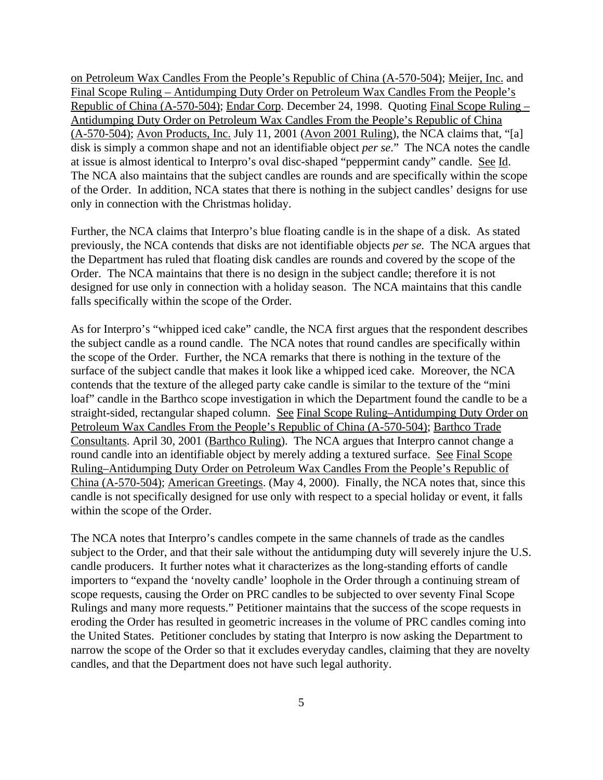on Petroleum Wax Candles From the People's Republic of China (A-570-504); Meijer, Inc. and Final Scope Ruling – Antidumping Duty Order on Petroleum Wax Candles From the People's Republic of China (A-570-504); Endar Corp. December 24, 1998. Quoting Final Scope Ruling – Antidumping Duty Order on Petroleum Wax Candles From the People's Republic of China  $(A-570-504)$ ; Avon Products, Inc. July 11, 2001 (Avon 2001 Ruling), the NCA claims that, "[a] disk is simply a common shape and not an identifiable object *per se*." The NCA notes the candle at issue is almost identical to Interpro's oval disc-shaped "peppermint candy" candle. See Id. The NCA also maintains that the subject candles are rounds and are specifically within the scope of the Order. In addition, NCA states that there is nothing in the subject candles' designs for use only in connection with the Christmas holiday.

Further, the NCA claims that Interpro's blue floating candle is in the shape of a disk. As stated previously, the NCA contends that disks are not identifiable objects *per se*. The NCA argues that the Department has ruled that floating disk candles are rounds and covered by the scope of the Order. The NCA maintains that there is no design in the subject candle; therefore it is not designed for use only in connection with a holiday season. The NCA maintains that this candle falls specifically within the scope of the Order.

As for Interpro's "whipped iced cake" candle, the NCA first argues that the respondent describes the subject candle as a round candle. The NCA notes that round candles are specifically within the scope of the Order. Further, the NCA remarks that there is nothing in the texture of the surface of the subject candle that makes it look like a whipped iced cake. Moreover, the NCA contends that the texture of the alleged party cake candle is similar to the texture of the "mini loaf" candle in the Barthco scope investigation in which the Department found the candle to be a straight-sided, rectangular shaped column. See Final Scope Ruling–Antidumping Duty Order on Petroleum Wax Candles From the People's Republic of China (A-570-504); Barthco Trade Consultants. April 30, 2001 (Barthco Ruling). The NCA argues that Interpro cannot change a round candle into an identifiable object by merely adding a textured surface. See Final Scope Ruling–Antidumping Duty Order on Petroleum Wax Candles From the People's Republic of China (A-570-504); American Greetings. (May 4, 2000). Finally, the NCA notes that, since this candle is not specifically designed for use only with respect to a special holiday or event, it falls within the scope of the Order.

The NCA notes that Interpro's candles compete in the same channels of trade as the candles subject to the Order, and that their sale without the antidumping duty will severely injure the U.S. candle producers. It further notes what it characterizes as the long-standing efforts of candle importers to "expand the 'novelty candle' loophole in the Order through a continuing stream of scope requests, causing the Order on PRC candles to be subjected to over seventy Final Scope Rulings and many more requests." Petitioner maintains that the success of the scope requests in eroding the Order has resulted in geometric increases in the volume of PRC candles coming into the United States. Petitioner concludes by stating that Interpro is now asking the Department to narrow the scope of the Order so that it excludes everyday candles, claiming that they are novelty candles, and that the Department does not have such legal authority.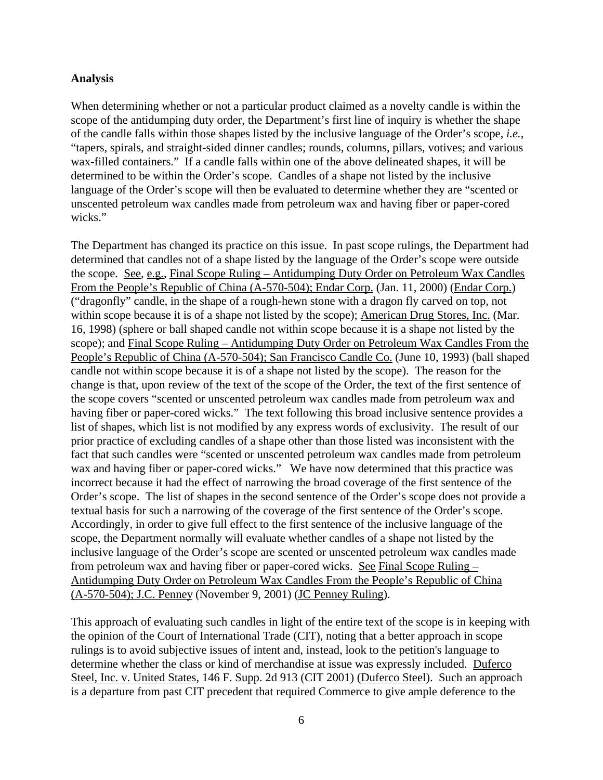### **Analysis**

When determining whether or not a particular product claimed as a novelty candle is within the scope of the antidumping duty order, the Department's first line of inquiry is whether the shape of the candle falls within those shapes listed by the inclusive language of the Order's scope, *i.e.*, "tapers, spirals, and straight-sided dinner candles; rounds, columns, pillars, votives; and various wax-filled containers." If a candle falls within one of the above delineated shapes, it will be determined to be within the Order's scope. Candles of a shape not listed by the inclusive language of the Order's scope will then be evaluated to determine whether they are "scented or unscented petroleum wax candles made from petroleum wax and having fiber or paper-cored wicks."

The Department has changed its practice on this issue. In past scope rulings, the Department had determined that candles not of a shape listed by the language of the Order's scope were outside the scope. See, e.g., Final Scope Ruling – Antidumping Duty Order on Petroleum Wax Candles From the People's Republic of China (A-570-504); Endar Corp. (Jan. 11, 2000) (Endar Corp.) ("dragonfly" candle, in the shape of a rough-hewn stone with a dragon fly carved on top, not within scope because it is of a shape not listed by the scope); American Drug Stores, Inc. (Mar. 16, 1998) (sphere or ball shaped candle not within scope because it is a shape not listed by the scope); and Final Scope Ruling – Antidumping Duty Order on Petroleum Wax Candles From the People's Republic of China (A-570-504); San Francisco Candle Co. (June 10, 1993) (ball shaped candle not within scope because it is of a shape not listed by the scope). The reason for the change is that, upon review of the text of the scope of the Order, the text of the first sentence of the scope covers "scented or unscented petroleum wax candles made from petroleum wax and having fiber or paper-cored wicks." The text following this broad inclusive sentence provides a list of shapes, which list is not modified by any express words of exclusivity. The result of our prior practice of excluding candles of a shape other than those listed was inconsistent with the fact that such candles were "scented or unscented petroleum wax candles made from petroleum wax and having fiber or paper-cored wicks." We have now determined that this practice was incorrect because it had the effect of narrowing the broad coverage of the first sentence of the Order's scope. The list of shapes in the second sentence of the Order's scope does not provide a textual basis for such a narrowing of the coverage of the first sentence of the Order's scope. Accordingly, in order to give full effect to the first sentence of the inclusive language of the scope, the Department normally will evaluate whether candles of a shape not listed by the inclusive language of the Order's scope are scented or unscented petroleum wax candles made from petroleum wax and having fiber or paper-cored wicks. See Final Scope Ruling – Antidumping Duty Order on Petroleum Wax Candles From the People's Republic of China (A-570-504); J.C. Penney (November 9, 2001) (JC Penney Ruling).

This approach of evaluating such candles in light of the entire text of the scope is in keeping with the opinion of the Court of International Trade (CIT), noting that a better approach in scope rulings is to avoid subjective issues of intent and, instead, look to the petition's language to determine whether the class or kind of merchandise at issue was expressly included. Duferco Steel, Inc. v. United States, 146 F. Supp. 2d 913 (CIT 2001) (Duferco Steel). Such an approach is a departure from past CIT precedent that required Commerce to give ample deference to the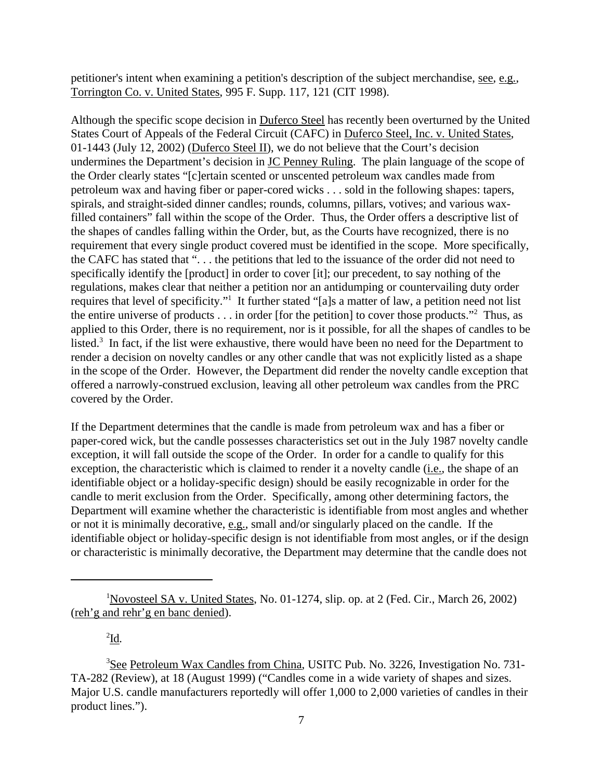petitioner's intent when examining a petition's description of the subject merchandise, see, e.g., Torrington Co. v. United States, 995 F. Supp. 117, 121 (CIT 1998).

Although the specific scope decision in Duferco Steel has recently been overturned by the United States Court of Appeals of the Federal Circuit (CAFC) in Duferco Steel, Inc. v. United States, 01-1443 (July 12, 2002) (Duferco Steel II), we do not believe that the Court's decision undermines the Department's decision in JC Penney Ruling. The plain language of the scope of the Order clearly states "[c]ertain scented or unscented petroleum wax candles made from petroleum wax and having fiber or paper-cored wicks . . . sold in the following shapes: tapers, spirals, and straight-sided dinner candles; rounds, columns, pillars, votives; and various waxfilled containers" fall within the scope of the Order. Thus, the Order offers a descriptive list of the shapes of candles falling within the Order, but, as the Courts have recognized, there is no requirement that every single product covered must be identified in the scope. More specifically, the CAFC has stated that ". . . the petitions that led to the issuance of the order did not need to specifically identify the [product] in order to cover [it]; our precedent, to say nothing of the regulations, makes clear that neither a petition nor an antidumping or countervailing duty order requires that level of specificity."<sup>1</sup> It further stated "[a]s a matter of law, a petition need not list the entire universe of products  $\dots$  in order [for the petition] to cover those products."<sup>2</sup> Thus, as applied to this Order, there is no requirement, nor is it possible, for all the shapes of candles to be listed.<sup>3</sup> In fact, if the list were exhaustive, there would have been no need for the Department to render a decision on novelty candles or any other candle that was not explicitly listed as a shape in the scope of the Order. However, the Department did render the novelty candle exception that offered a narrowly-construed exclusion, leaving all other petroleum wax candles from the PRC covered by the Order.

If the Department determines that the candle is made from petroleum wax and has a fiber or paper-cored wick, but the candle possesses characteristics set out in the July 1987 novelty candle exception, it will fall outside the scope of the Order. In order for a candle to qualify for this exception, the characteristic which is claimed to render it a novelty candle (i.e., the shape of an identifiable object or a holiday-specific design) should be easily recognizable in order for the candle to merit exclusion from the Order. Specifically, among other determining factors, the Department will examine whether the characteristic is identifiable from most angles and whether or not it is minimally decorative,  $\underline{e.g.}$ , small and/or singularly placed on the candle. If the identifiable object or holiday-specific design is not identifiable from most angles, or if the design or characteristic is minimally decorative, the Department may determine that the candle does not

2 Id*.*

<sup>&</sup>lt;sup>1</sup>Novosteel SA v. United States, No. 01-1274, slip. op. at 2 (Fed. Cir., March 26, 2002) (reh'g and rehr'g en banc denied).

<sup>&</sup>lt;sup>3</sup>See Petroleum Wax Candles from China, USITC Pub. No. 3226, Investigation No. 731-TA-282 (Review), at 18 (August 1999) ("Candles come in a wide variety of shapes and sizes. Major U.S. candle manufacturers reportedly will offer 1,000 to 2,000 varieties of candles in their product lines.").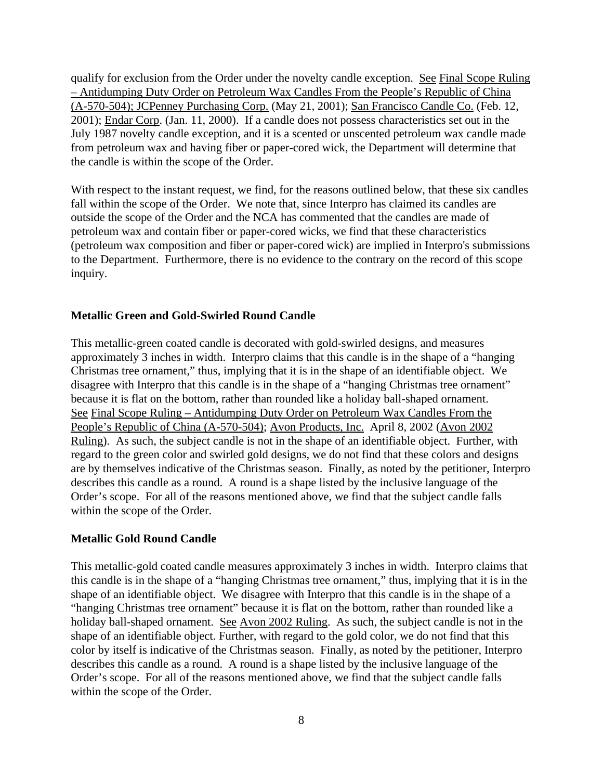qualify for exclusion from the Order under the novelty candle exception. See Final Scope Ruling – Antidumping Duty Order on Petroleum Wax Candles From the People's Republic of China (A-570-504); JCPenney Purchasing Corp. (May 21, 2001); San Francisco Candle Co. (Feb. 12, 2001); Endar Corp. (Jan. 11, 2000). If a candle does not possess characteristics set out in the July 1987 novelty candle exception, and it is a scented or unscented petroleum wax candle made from petroleum wax and having fiber or paper-cored wick, the Department will determine that the candle is within the scope of the Order.

With respect to the instant request, we find, for the reasons outlined below, that these six candles fall within the scope of the Order. We note that, since Interpro has claimed its candles are outside the scope of the Order and the NCA has commented that the candles are made of petroleum wax and contain fiber or paper-cored wicks, we find that these characteristics (petroleum wax composition and fiber or paper-cored wick) are implied in Interpro's submissions to the Department. Furthermore, there is no evidence to the contrary on the record of this scope inquiry.

## **Metallic Green and Gold-Swirled Round Candle**

This metallic-green coated candle is decorated with gold-swirled designs, and measures approximately 3 inches in width. Interpro claims that this candle is in the shape of a "hanging Christmas tree ornament," thus, implying that it is in the shape of an identifiable object. We disagree with Interpro that this candle is in the shape of a "hanging Christmas tree ornament" because it is flat on the bottom, rather than rounded like a holiday ball-shaped ornament. See Final Scope Ruling – Antidumping Duty Order on Petroleum Wax Candles From the People's Republic of China (A-570-504); Avon Products, Inc. April 8, 2002 (Avon 2002 Ruling). As such, the subject candle is not in the shape of an identifiable object. Further, with regard to the green color and swirled gold designs, we do not find that these colors and designs are by themselves indicative of the Christmas season. Finally, as noted by the petitioner, Interpro describes this candle as a round. A round is a shape listed by the inclusive language of the Order's scope. For all of the reasons mentioned above, we find that the subject candle falls within the scope of the Order.

### **Metallic Gold Round Candle**

This metallic-gold coated candle measures approximately 3 inches in width. Interpro claims that this candle is in the shape of a "hanging Christmas tree ornament," thus, implying that it is in the shape of an identifiable object. We disagree with Interpro that this candle is in the shape of a "hanging Christmas tree ornament" because it is flat on the bottom, rather than rounded like a holiday ball-shaped ornament. See Avon 2002 Ruling. As such, the subject candle is not in the shape of an identifiable object. Further, with regard to the gold color, we do not find that this color by itself is indicative of the Christmas season. Finally, as noted by the petitioner, Interpro describes this candle as a round. A round is a shape listed by the inclusive language of the Order's scope. For all of the reasons mentioned above, we find that the subject candle falls within the scope of the Order.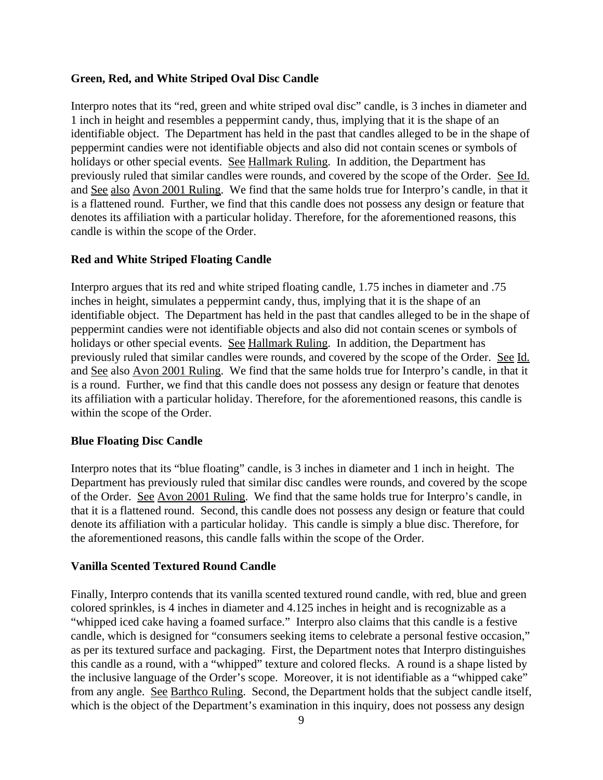## **Green, Red, and White Striped Oval Disc Candle**

Interpro notes that its "red, green and white striped oval disc" candle, is 3 inches in diameter and 1 inch in height and resembles a peppermint candy, thus, implying that it is the shape of an identifiable object. The Department has held in the past that candles alleged to be in the shape of peppermint candies were not identifiable objects and also did not contain scenes or symbols of holidays or other special events. See Hallmark Ruling. In addition, the Department has previously ruled that similar candles were rounds, and covered by the scope of the Order. See Id. and See also Avon 2001 Ruling. We find that the same holds true for Interpro's candle, in that it is a flattened round. Further, we find that this candle does not possess any design or feature that denotes its affiliation with a particular holiday. Therefore, for the aforementioned reasons, this candle is within the scope of the Order.

## **Red and White Striped Floating Candle**

Interpro argues that its red and white striped floating candle, 1.75 inches in diameter and .75 inches in height, simulates a peppermint candy, thus, implying that it is the shape of an identifiable object. The Department has held in the past that candles alleged to be in the shape of peppermint candies were not identifiable objects and also did not contain scenes or symbols of holidays or other special events. See Hallmark Ruling. In addition, the Department has previously ruled that similar candles were rounds, and covered by the scope of the Order. See Id. and See also Avon 2001 Ruling. We find that the same holds true for Interpro's candle, in that it is a round. Further, we find that this candle does not possess any design or feature that denotes its affiliation with a particular holiday. Therefore, for the aforementioned reasons, this candle is within the scope of the Order.

## **Blue Floating Disc Candle**

Interpro notes that its "blue floating" candle, is 3 inches in diameter and 1 inch in height. The Department has previously ruled that similar disc candles were rounds, and covered by the scope of the Order. See Avon 2001 Ruling. We find that the same holds true for Interpro's candle, in that it is a flattened round. Second, this candle does not possess any design or feature that could denote its affiliation with a particular holiday. This candle is simply a blue disc. Therefore, for the aforementioned reasons, this candle falls within the scope of the Order.

# **Vanilla Scented Textured Round Candle**

Finally, Interpro contends that its vanilla scented textured round candle, with red, blue and green colored sprinkles, is 4 inches in diameter and 4.125 inches in height and is recognizable as a "whipped iced cake having a foamed surface." Interpro also claims that this candle is a festive candle, which is designed for "consumers seeking items to celebrate a personal festive occasion," as per its textured surface and packaging. First, the Department notes that Interpro distinguishes this candle as a round, with a "whipped" texture and colored flecks. A round is a shape listed by the inclusive language of the Order's scope. Moreover, it is not identifiable as a "whipped cake" from any angle. See Barthco Ruling. Second, the Department holds that the subject candle itself, which is the object of the Department's examination in this inquiry, does not possess any design